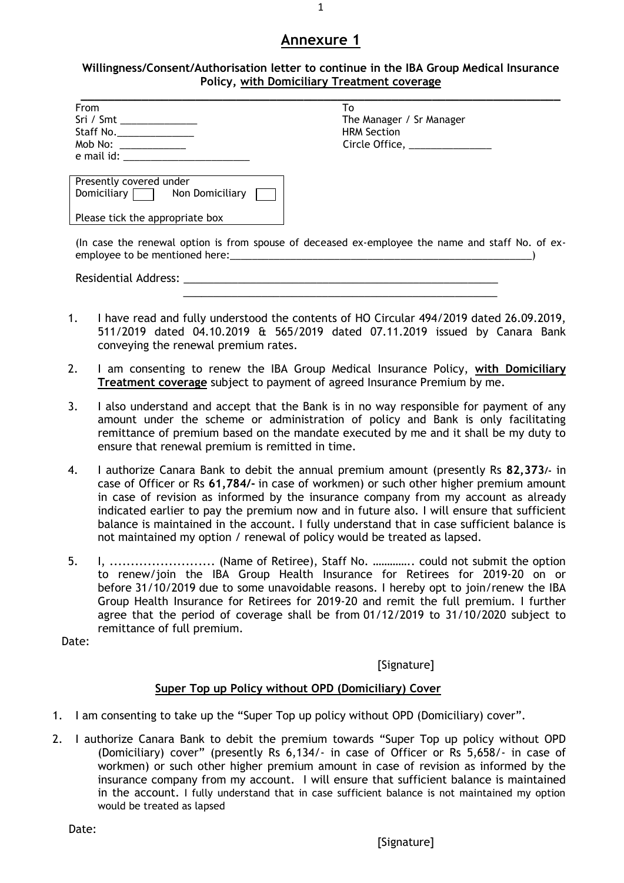#### **Willingness/Consent/Authorisation letter to continue in the IBA Group Medical Insurance Policy, with Domiciliary Treatment coverage**

| <b>From</b>                               | To                                                                                               |
|-------------------------------------------|--------------------------------------------------------------------------------------------------|
| Sri / Smt ________________                | The Manager / Sr Manager                                                                         |
| Staff No.________________                 | <b>HRM Section</b>                                                                               |
| Mob No: ______________                    | Circle Office, ______________                                                                    |
|                                           |                                                                                                  |
|                                           |                                                                                                  |
| Presently covered under                   |                                                                                                  |
| Domiciliary $\Box$ Non Domiciliary $\Box$ |                                                                                                  |
|                                           |                                                                                                  |
| Please tick the appropriate box           |                                                                                                  |
|                                           |                                                                                                  |
|                                           | (In case the renewal option is from spouse of deceased ex-employee the name and staff No. of ex- |
|                                           |                                                                                                  |
|                                           |                                                                                                  |
|                                           |                                                                                                  |
|                                           |                                                                                                  |
|                                           | 1. I have read and fully understood the contents of HO Circular 494/2019 dated 26.09.2019,       |
|                                           |                                                                                                  |

2. I am consenting to renew the IBA Group Medical Insurance Policy, **with Domiciliary Treatment coverage** subject to payment of agreed Insurance Premium by me.

conveying the renewal premium rates.

- 3. I also understand and accept that the Bank is in no way responsible for payment of any amount under the scheme or administration of policy and Bank is only facilitating remittance of premium based on the mandate executed by me and it shall be my duty to ensure that renewal premium is remitted in time.
- 4. I authorize Canara Bank to debit the annual premium amount (presently Rs **82,373/-** in case of Officer or Rs **61,784/-** in case of workmen) or such other higher premium amount in case of revision as informed by the insurance company from my account as already indicated earlier to pay the premium now and in future also. I will ensure that sufficient balance is maintained in the account. I fully understand that in case sufficient balance is not maintained my option / renewal of policy would be treated as lapsed.
- 5. I, ......................... (Name of Retiree), Staff No. ………….. could not submit the option to renew/join the IBA Group Health Insurance for Retirees for 2019-20 on or before 31/10/2019 due to some unavoidable reasons. I hereby opt to join/renew the IBA Group Health Insurance for Retirees for 2019-20 and remit the full premium. I further agree that the period of coverage shall be from 01/12/2019 to 31/10/2020 subject to remittance of full premium.

Date:

[Signature]

## **Super Top up Policy without OPD (Domiciliary) Cover**

- 1. I am consenting to take up the "Super Top up policy without OPD (Domiciliary) cover".
- 2. I authorize Canara Bank to debit the premium towards "Super Top up policy without OPD (Domiciliary) cover" (presently Rs 6,134/- in case of Officer or Rs 5,658/- in case of workmen) or such other higher premium amount in case of revision as informed by the insurance company from my account. I will ensure that sufficient balance is maintained in the account. I fully understand that in case sufficient balance is not maintained my option would be treated as lapsed

Date: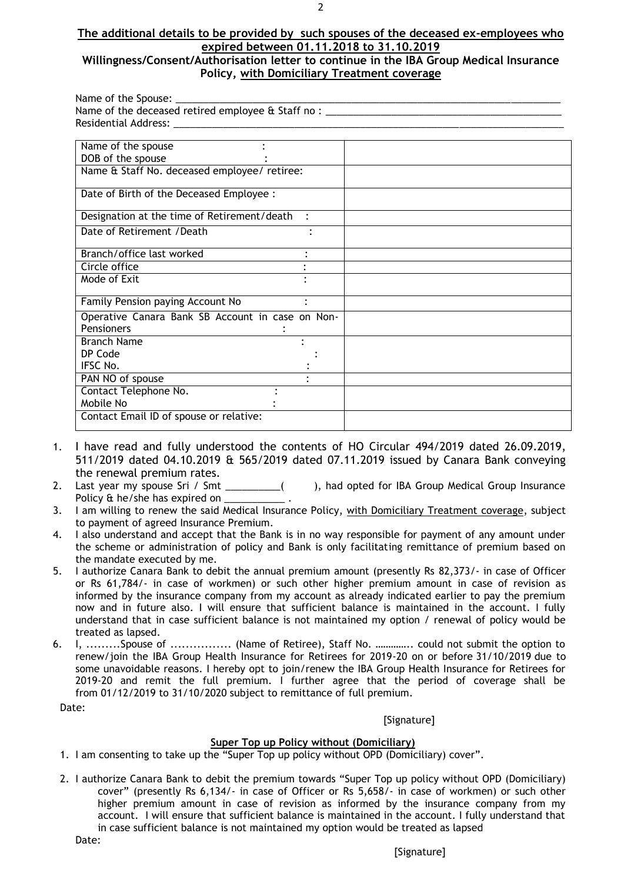#### **The additional details to be provided by such spouses of the deceased ex-employees who expired between 01.11.2018 to 31.10.2019 Willingness/Consent/Authorisation letter to continue in the IBA Group Medical Insurance**

# **Policy, with Domiciliary Treatment coverage**

| Name of the Spouse: _                                                            |  |  |
|----------------------------------------------------------------------------------|--|--|
| Name of the deceased retired employee & Staff no : _____________________________ |  |  |
|                                                                                  |  |  |
|                                                                                  |  |  |
| Name of the spouse                                                               |  |  |
| DOB of the spouse                                                                |  |  |
| Name & Staff No. deceased employee/ retiree:                                     |  |  |
| Date of Birth of the Deceased Employee :                                         |  |  |
| Designation at the time of Retirement/death                                      |  |  |
| Date of Retirement / Death                                                       |  |  |
| Branch/office last worked                                                        |  |  |
| Circle office                                                                    |  |  |
| Mode of Exit                                                                     |  |  |
| Family Pension paying Account No                                                 |  |  |
| Operative Canara Bank SB Account in case on Non-                                 |  |  |
| <b>Pensioners</b>                                                                |  |  |
| <b>Branch Name</b>                                                               |  |  |
| DP Code                                                                          |  |  |
| IFSC No.                                                                         |  |  |
| PAN NO of spouse                                                                 |  |  |
| Contact Telephone No.                                                            |  |  |
| Mobile No                                                                        |  |  |
| Contact Email ID of spouse or relative:                                          |  |  |

- 1. I have read and fully understood the contents of HO Circular 494/2019 dated 26.09.2019, 511/2019 dated 04.10.2019 & 565/2019 dated 07.11.2019 issued by Canara Bank conveying the renewal premium rates.
- 2. Last year my spouse Sri / Smt \_\_\_\_\_\_\_\_\_( ), had opted for IBA Group Medical Group Insurance Policy & he/she has expired on \_\_\_\_\_\_\_
- 3. I am willing to renew the said Medical Insurance Policy, with Domiciliary Treatment coverage, subject to payment of agreed Insurance Premium.
- 4. I also understand and accept that the Bank is in no way responsible for payment of any amount under the scheme or administration of policy and Bank is only facilitating remittance of premium based on the mandate executed by me.
- 5. I authorize Canara Bank to debit the annual premium amount (presently Rs 82,373/- in case of Officer or Rs 61,784/- in case of workmen) or such other higher premium amount in case of revision as informed by the insurance company from my account as already indicated earlier to pay the premium now and in future also. I will ensure that sufficient balance is maintained in the account. I fully understand that in case sufficient balance is not maintained my option / renewal of policy would be treated as lapsed.
- 6. I, .........Spouse of ................ (Name of Retiree), Staff No. ………….. could not submit the option to renew/join the IBA Group Health Insurance for Retirees for 2019-20 on or before 31/10/2019 due to some unavoidable reasons. I hereby opt to join/renew the IBA Group Health Insurance for Retirees for 2019-20 and remit the full premium. I further agree that the period of coverage shall be from 01/12/2019 to 31/10/2020 subject to remittance of full premium.

Date:

**[Signature]** 

#### **Super Top up Policy without (Domiciliary)**

- 1. I am consenting to take up the "Super Top up policy without OPD (Domiciliary) cover".
- 2. I authorize Canara Bank to debit the premium towards "Super Top up policy without OPD (Domiciliary) cover" (presently Rs 6,134/- in case of Officer or Rs 5,658/- in case of workmen) or such other higher premium amount in case of revision as informed by the insurance company from my account. I will ensure that sufficient balance is maintained in the account. I fully understand that in case sufficient balance is not maintained my option would be treated as lapsed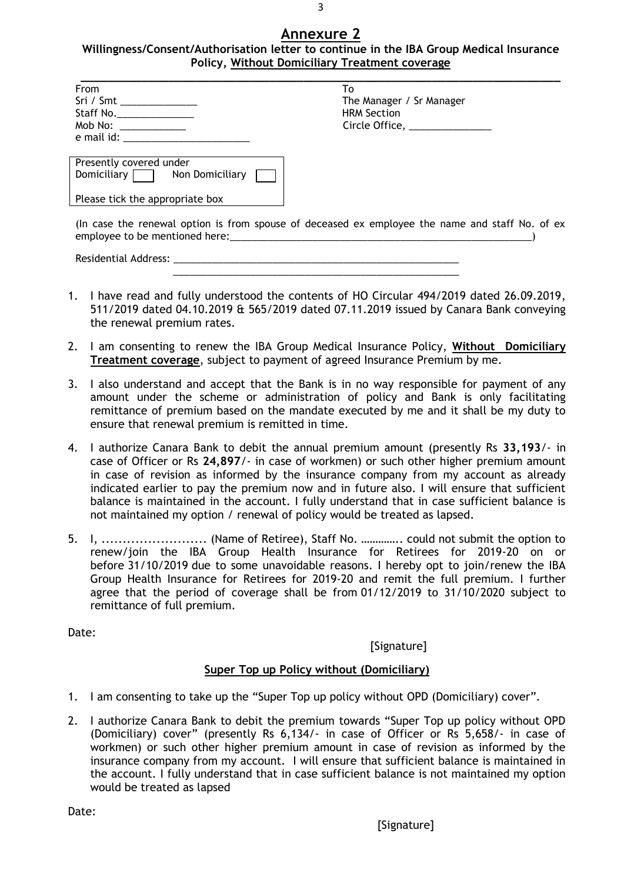3

**Willingness/Consent/Authorisation letter to continue in the IBA Group Medical Insurance Policy, Without Domiciliary Treatment coverage**

| From                        | Т٥                            |
|-----------------------------|-------------------------------|
| Sri / Smt _______________   | The Manager / Sr Manager      |
| Staff No.                   | <b>HRM Section</b>            |
|                             | Circle Office, ______________ |
| e mail id: and the mail id: |                               |

| The Manager / Sr Manager<br>HRM Section |
|-----------------------------------------|
|                                         |
|                                         |
| Circle Office, _                        |

| Presently covered under<br>Domiciliary $\Box$ | Non Domiciliary |  |
|-----------------------------------------------|-----------------|--|
| Please tick the appropriate box               |                 |  |

(In case the renewal option is from spouse of deceased ex employee the name and staff No. of ex employee to be mentioned here:

Residential Address: \_

1. I have read and fully understood the contents of HO Circular 494/2019 dated 26.09.2019, 511/2019 dated 04.10.2019 & 565/2019 dated 07.11.2019 issued by Canara Bank conveying the renewal premium rates.

 $\frac{1}{2}$  ,  $\frac{1}{2}$  ,  $\frac{1}{2}$  ,  $\frac{1}{2}$  ,  $\frac{1}{2}$  ,  $\frac{1}{2}$  ,  $\frac{1}{2}$  ,  $\frac{1}{2}$  ,  $\frac{1}{2}$  ,  $\frac{1}{2}$  ,  $\frac{1}{2}$  ,  $\frac{1}{2}$  ,  $\frac{1}{2}$  ,  $\frac{1}{2}$  ,  $\frac{1}{2}$  ,  $\frac{1}{2}$  ,  $\frac{1}{2}$  ,  $\frac{1}{2}$  ,  $\frac{1$ 

- 2. I am consenting to renew the IBA Group Medical Insurance Policy, **Without Domiciliary Treatment coverage**, subject to payment of agreed Insurance Premium by me.
- 3. I also understand and accept that the Bank is in no way responsible for payment of any amount under the scheme or administration of policy and Bank is only facilitating remittance of premium based on the mandate executed by me and it shall be my duty to ensure that renewal premium is remitted in time.
- 4. I authorize Canara Bank to debit the annual premium amount (presently Rs **33,193**/- in case of Officer or Rs **24,897**/- in case of workmen) or such other higher premium amount in case of revision as informed by the insurance company from my account as already indicated earlier to pay the premium now and in future also. I will ensure that sufficient balance is maintained in the account. I fully understand that in case sufficient balance is not maintained my option / renewal of policy would be treated as lapsed.
- 5. I, ......................... (Name of Retiree), Staff No. ………….. could not submit the option to renew/join the IBA Group Health Insurance for Retirees for 2019-20 on or before 31/10/2019 due to some unavoidable reasons. I hereby opt to join/renew the IBA Group Health Insurance for Retirees for 2019-20 and remit the full premium. I further agree that the period of coverage shall be from 01/12/2019 to 31/10/2020 subject to remittance of full premium.

Date:

[Signature]

## **Super Top up Policy without (Domiciliary)**

- 1. I am consenting to take up the "Super Top up policy without OPD (Domiciliary) cover".
- 2. I authorize Canara Bank to debit the premium towards "Super Top up policy without OPD (Domiciliary) cover" (presently Rs 6,134/- in case of Officer or Rs 5,658/- in case of workmen) or such other higher premium amount in case of revision as informed by the insurance company from my account. I will ensure that sufficient balance is maintained in the account. I fully understand that in case sufficient balance is not maintained my option would be treated as lapsed

Date: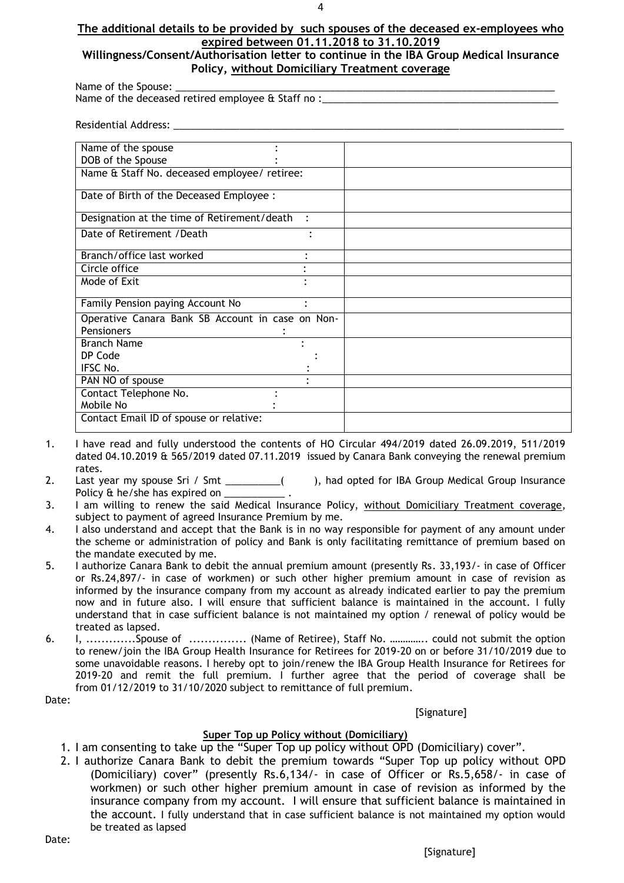#### 4

#### **The additional details to be provided by such spouses of the deceased ex-employees who expired between 01.11.2018 to 31.10.2019**

#### **Willingness/Consent/Authorisation letter to continue in the IBA Group Medical Insurance Policy, without Domiciliary Treatment coverage**

Name of the Spouse:

Name of the deceased retired employee & Staff no :

Residential Address:

| Name of the spouse                               |  |
|--------------------------------------------------|--|
| DOB of the Spouse                                |  |
| Name & Staff No. deceased employee/ retiree:     |  |
|                                                  |  |
| Date of Birth of the Deceased Employee :         |  |
| Designation at the time of Retirement/death      |  |
| Date of Retirement / Death                       |  |
| $\bullet$                                        |  |
| Branch/office last worked                        |  |
| Circle office                                    |  |
| Mode of Exit                                     |  |
|                                                  |  |
| Family Pension paying Account No                 |  |
| Operative Canara Bank SB Account in case on Non- |  |
| <b>Pensioners</b>                                |  |
| <b>Branch Name</b>                               |  |
| DP Code                                          |  |
| IFSC No.                                         |  |
| PAN NO of spouse                                 |  |
| Contact Telephone No.                            |  |
| Mobile No                                        |  |
| Contact Email ID of spouse or relative:          |  |
|                                                  |  |

- 1. I have read and fully understood the contents of HO Circular 494/2019 dated 26.09.2019, 511/2019 dated 04.10.2019 & 565/2019 dated 07.11.2019 issued by Canara Bank conveying the renewal premium rates.
- 2. Last year my spouse Sri / Smt \_\_\_\_\_\_\_\_\_( ), had opted for IBA Group Medical Group Insurance Policy & he/she has expired on
- 3. I am willing to renew the said Medical Insurance Policy, without Domiciliary Treatment coverage, subject to payment of agreed Insurance Premium by me.
- 4. I also understand and accept that the Bank is in no way responsible for payment of any amount under the scheme or administration of policy and Bank is only facilitating remittance of premium based on the mandate executed by me.
- 5. I authorize Canara Bank to debit the annual premium amount (presently Rs. 33,193/- in case of Officer or Rs.24,897/- in case of workmen) or such other higher premium amount in case of revision as informed by the insurance company from my account as already indicated earlier to pay the premium now and in future also. I will ensure that sufficient balance is maintained in the account. I fully understand that in case sufficient balance is not maintained my option / renewal of policy would be treated as lapsed.
- 6. I, .............Spouse of ............... (Name of Retiree), Staff No. ………….. could not submit the option to renew/join the IBA Group Health Insurance for Retirees for 2019-20 on or before 31/10/2019 due to some unavoidable reasons. I hereby opt to join/renew the IBA Group Health Insurance for Retirees for 2019-20 and remit the full premium. I further agree that the period of coverage shall be from 01/12/2019 to 31/10/2020 subject to remittance of full premium.

Date:

[Signature]

#### **Super Top up Policy without (Domiciliary)**

- 1. I am consenting to take up the "Super Top up policy without OPD (Domiciliary) cover".
- 2. I authorize Canara Bank to debit the premium towards "Super Top up policy without OPD (Domiciliary) cover" (presently Rs.6,134/- in case of Officer or Rs.5,658/- in case of workmen) or such other higher premium amount in case of revision as informed by the insurance company from my account. I will ensure that sufficient balance is maintained in the account. I fully understand that in case sufficient balance is not maintained my option would be treated as lapsed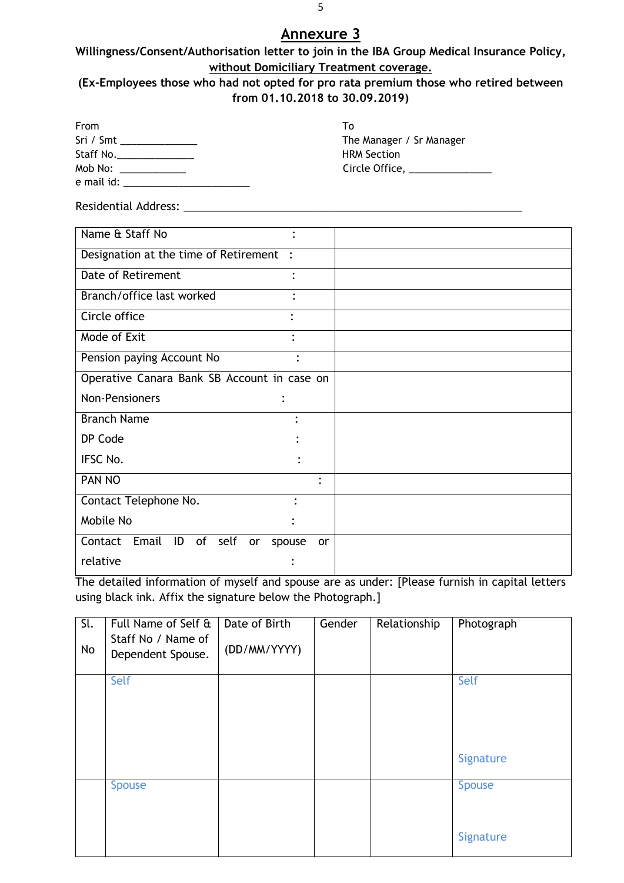## **Willingness/Consent/Authorisation letter to join in the IBA Group Medical Insurance Policy, without Domiciliary Treatment coverage.**

#### **(Ex-Employees those who had not opted for pro rata premium those who retired between from 01.10.2018 to 30.09.2019)**

| From                    | Tο                                                                                     |
|-------------------------|----------------------------------------------------------------------------------------|
| Sri / Smt _____________ | The Manager / Sr Manager                                                               |
| Staff No.               | <b>HRM Section</b>                                                                     |
| Mob No: ____________    | Circle Office, $\frac{1}{2}$ Circle Office, $\frac{1}{2}$ Circle Office, $\frac{1}{2}$ |
|                         |                                                                                        |

Residential Address: \_\_\_\_\_\_\_\_\_\_\_\_\_\_\_\_\_\_\_\_\_\_\_\_\_\_\_\_\_\_\_\_\_\_\_\_\_\_\_\_\_\_\_\_\_\_\_\_\_\_\_\_\_\_\_\_

| Name & Staff No<br>٠                        |           |
|---------------------------------------------|-----------|
| Designation at the time of Retirement :     |           |
| Date of Retirement<br>٠                     |           |
| Branch/office last worked                   |           |
| Circle office                               |           |
| Mode of Exit<br>$\bullet$                   |           |
| Pension paying Account No                   | ٠         |
| Operative Canara Bank SB Account in case on |           |
| Non-Pensioners<br>$\bullet$                 |           |
| <b>Branch Name</b>                          |           |
| DP Code                                     |           |
| IFSC No.                                    |           |
| PAN NO                                      | $\bullet$ |
| Contact Telephone No.                       |           |
| Mobile No                                   |           |
| Contact Email ID of self<br>or<br>spouse    | <b>or</b> |
| relative                                    |           |

The detailed information of myself and spouse are as under: [Please furnish in capital letters using black ink. Affix the signature below the Photograph.]

| Sl.<br>No | Full Name of Self &<br>Staff No / Name of<br>Dependent Spouse. | Date of Birth<br>(DD/MM/YYYY) | Gender | Relationship | Photograph |
|-----------|----------------------------------------------------------------|-------------------------------|--------|--------------|------------|
|           | Self                                                           |                               |        |              | Self       |
|           |                                                                |                               |        |              |            |
|           |                                                                |                               |        |              |            |
|           |                                                                |                               |        |              |            |
|           |                                                                |                               |        |              | Signature  |
|           | <b>Spouse</b>                                                  |                               |        |              | Spouse     |
|           |                                                                |                               |        |              |            |
|           |                                                                |                               |        |              | Signature  |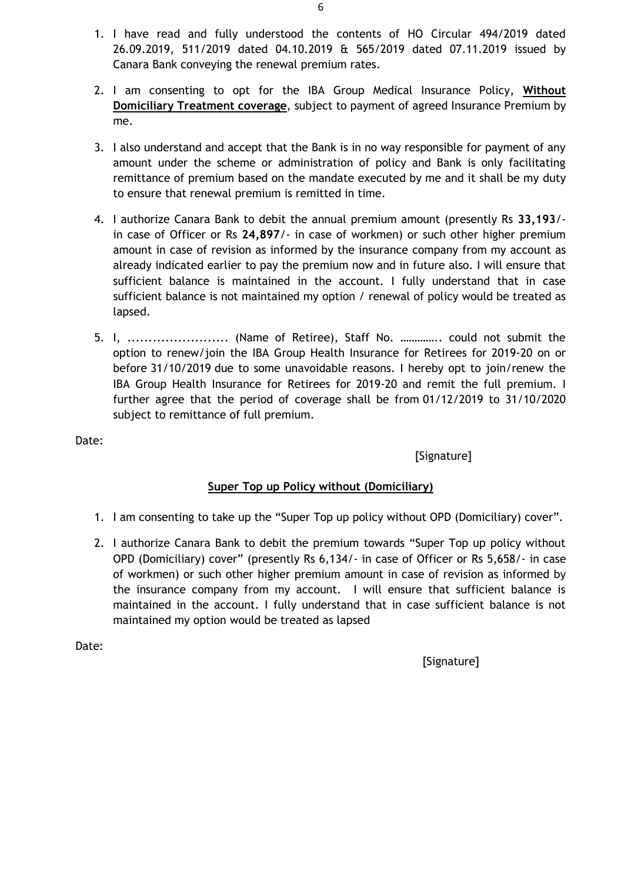- 1. I have read and fully understood the contents of HO Circular 494/2019 dated 26.09.2019, 511/2019 dated 04.10.2019 & 565/2019 dated 07.11.2019 issued by Canara Bank conveying the renewal premium rates.
- 2. I am consenting to opt for the IBA Group Medical Insurance Policy, **Without Domiciliary Treatment coverage**, subject to payment of agreed Insurance Premium by me.
- 3. I also understand and accept that the Bank is in no way responsible for payment of any amount under the scheme or administration of policy and Bank is only facilitating remittance of premium based on the mandate executed by me and it shall be my duty to ensure that renewal premium is remitted in time.
- 4. I authorize Canara Bank to debit the annual premium amount (presently Rs **33,193**/ in case of Officer or Rs **24,897**/- in case of workmen) or such other higher premium amount in case of revision as informed by the insurance company from my account as already indicated earlier to pay the premium now and in future also. I will ensure that sufficient balance is maintained in the account. I fully understand that in case sufficient balance is not maintained my option / renewal of policy would be treated as lapsed.
- 5. I, .......................... (Name of Retiree), Staff No. ............... could not submit the option to renew/join the IBA Group Health Insurance for Retirees for 2019-20 on or before 31/10/2019 due to some unavoidable reasons. I hereby opt to join/renew the IBA Group Health Insurance for Retirees for 2019-20 and remit the full premium. I further agree that the period of coverage shall be from 01/12/2019 to 31/10/2020 subject to remittance of full premium.

[Signature]

## **Super Top up Policy without (Domiciliary)**

- 1. I am consenting to take up the "Super Top up policy without OPD (Domiciliary) cover".
- 2. I authorize Canara Bank to debit the premium towards "Super Top up policy without OPD (Domiciliary) cover" (presently Rs 6,134/- in case of Officer or Rs 5,658/- in case of workmen) or such other higher premium amount in case of revision as informed by the insurance company from my account. I will ensure that sufficient balance is maintained in the account. I fully understand that in case sufficient balance is not maintained my option would be treated as lapsed

Date: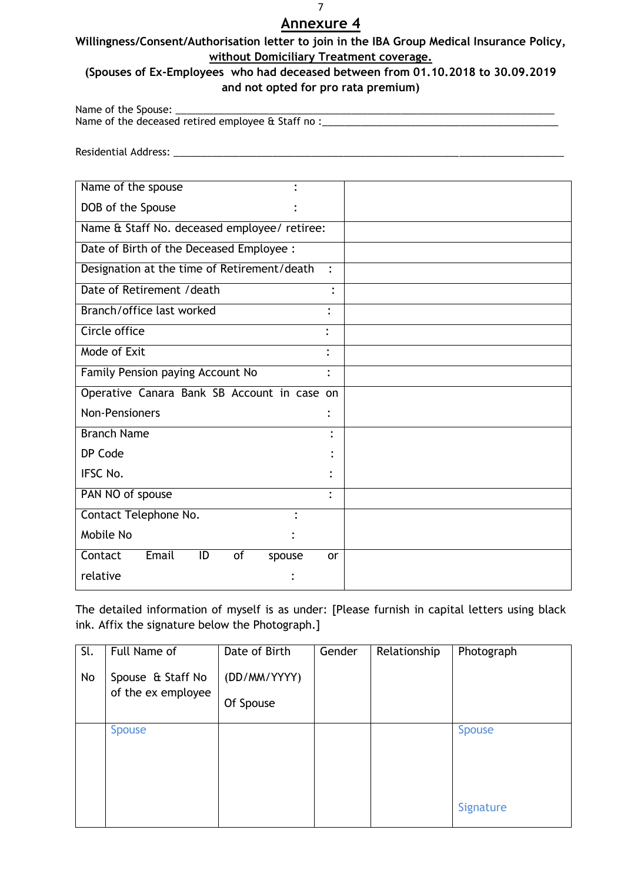## **Willingness/Consent/Authorisation letter to join in the IBA Group Medical Insurance Policy, without Domiciliary Treatment coverage.**

## **(Spouses of Ex-Employees who had deceased between from 01.10.2018 to 30.09.2019 and not opted for pro rata premium)**

Name of the Spouse: Name of the deceased retired employee & Staff no :

Residential Address: \_\_\_\_\_\_\_\_\_\_\_\_\_\_\_\_\_\_\_\_\_\_\_\_\_\_\_\_\_\_\_\_\_\_\_\_\_\_\_\_\_\_\_\_\_\_\_\_\_\_\_\_\_\_\_\_\_\_\_\_\_\_\_\_\_\_\_\_\_\_\_

| Name of the spouse                           |                      |
|----------------------------------------------|----------------------|
| DOB of the Spouse                            |                      |
| Name & Staff No. deceased employee/ retiree: |                      |
| Date of Birth of the Deceased Employee :     |                      |
| Designation at the time of Retirement/death  | $\ddot{\phantom{a}}$ |
| Date of Retirement / death                   | $\bullet$            |
| Branch/office last worked                    | ٠                    |
| Circle office                                |                      |
| Mode of Exit                                 |                      |
| Family Pension paying Account No             | $\ddot{\cdot}$       |
| Operative Canara Bank SB Account in case on  |                      |
| <b>Non-Pensioners</b>                        | ٠                    |
| <b>Branch Name</b>                           | ٠                    |
| DP Code                                      |                      |
| IFSC No.                                     |                      |
| PAN NO of spouse                             | $\ddot{\cdot}$       |
| Contact Telephone No.                        |                      |
| Mobile No                                    |                      |
| Email<br>Contact<br>ID<br>of<br>spouse       | or                   |
| relative                                     |                      |

The detailed information of myself is as under: [Please furnish in capital letters using black ink. Affix the signature below the Photograph.]

| Sl.<br>No | Full Name of<br>Spouse & Staff No<br>of the ex employee | Date of Birth<br>(DD/MM/YYYY)<br>Of Spouse | Gender | Relationship | Photograph                 |
|-----------|---------------------------------------------------------|--------------------------------------------|--------|--------------|----------------------------|
|           | <b>Spouse</b>                                           |                                            |        |              | <b>Spouse</b><br>Signature |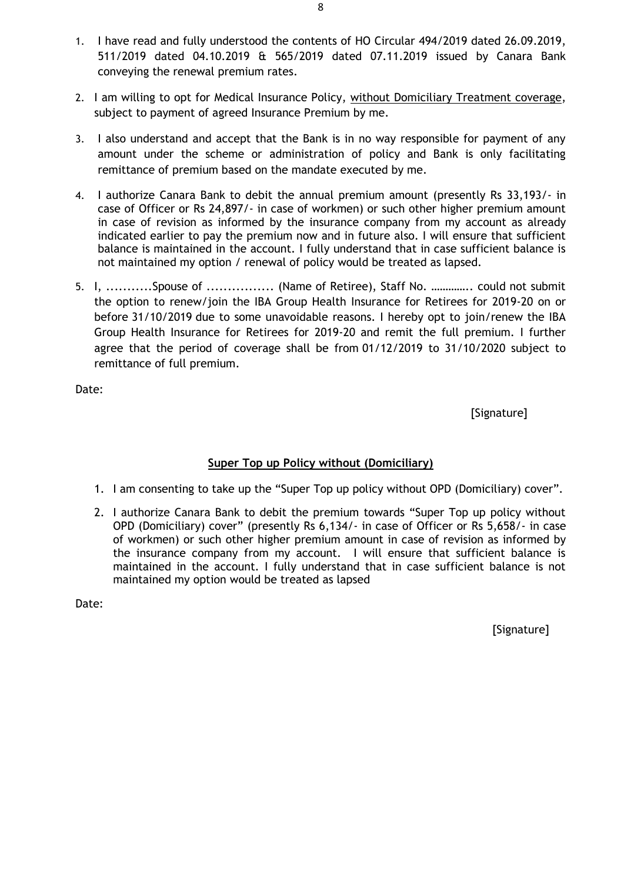- 1. I have read and fully understood the contents of HO Circular 494/2019 dated 26.09.2019, 511/2019 dated 04.10.2019 & 565/2019 dated 07.11.2019 issued by Canara Bank conveying the renewal premium rates.
- 2. I am willing to opt for Medical Insurance Policy, without Domiciliary Treatment coverage, subject to payment of agreed Insurance Premium by me.
- 3. I also understand and accept that the Bank is in no way responsible for payment of any amount under the scheme or administration of policy and Bank is only facilitating remittance of premium based on the mandate executed by me.
- 4. I authorize Canara Bank to debit the annual premium amount (presently Rs 33,193/- in case of Officer or Rs 24,897/- in case of workmen) or such other higher premium amount in case of revision as informed by the insurance company from my account as already indicated earlier to pay the premium now and in future also. I will ensure that sufficient balance is maintained in the account. I fully understand that in case sufficient balance is not maintained my option / renewal of policy would be treated as lapsed.
- 5. I, ...........Spouse of ................... (Name of Retiree), Staff No. ............... could not submit the option to renew/join the IBA Group Health Insurance for Retirees for 2019-20 on or before 31/10/2019 due to some unavoidable reasons. I hereby opt to join/renew the IBA Group Health Insurance for Retirees for 2019-20 and remit the full premium. I further agree that the period of coverage shall be from 01/12/2019 to 31/10/2020 subject to remittance of full premium.

[Signature]

## **Super Top up Policy without (Domiciliary)**

- 1. I am consenting to take up the "Super Top up policy without OPD (Domiciliary) cover".
- 2. I authorize Canara Bank to debit the premium towards "Super Top up policy without OPD (Domiciliary) cover" (presently Rs 6,134/- in case of Officer or Rs 5,658/- in case of workmen) or such other higher premium amount in case of revision as informed by the insurance company from my account. I will ensure that sufficient balance is maintained in the account. I fully understand that in case sufficient balance is not maintained my option would be treated as lapsed

Date: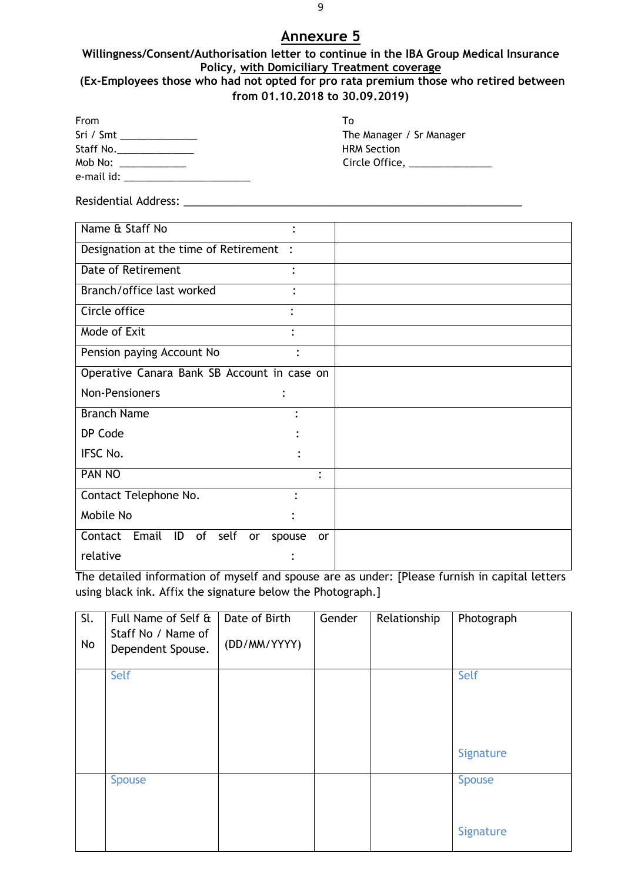#### **Willingness/Consent/Authorisation letter to continue in the IBA Group Medical Insurance Policy, with Domiciliary Treatment coverage (Ex-Employees those who had not opted for pro rata premium those who retired between from 01.10.2018 to 30.09.2019)**

| From<br>Sri / Smt ________________<br>Mob No: _____________ | To<br>The Manager / Sr Manager<br><b>HRM Section</b><br>Circle Office, ______________ |
|-------------------------------------------------------------|---------------------------------------------------------------------------------------|
|                                                             |                                                                                       |
| Name & Staff No                                             |                                                                                       |
| Designation at the time of Retirement :                     |                                                                                       |
| <b>Date of Retirement</b>                                   |                                                                                       |
| Branch/office last worked                                   |                                                                                       |
| Circle office                                               |                                                                                       |
| Mode of Exit                                                |                                                                                       |
| Pension paying Account No<br>$\ddot{\cdot}$                 |                                                                                       |
| Operative Canara Bank SB Account in case on                 |                                                                                       |
| <b>Non-Pensioners</b>                                       |                                                                                       |
| <b>Branch Name</b>                                          |                                                                                       |
| DP Code                                                     |                                                                                       |
| <b>IFSC No.</b>                                             |                                                                                       |
| <b>PAN NO</b><br>$\ddot{\cdot}$                             |                                                                                       |
| Contact Telephone No.                                       |                                                                                       |
| Mobile No                                                   |                                                                                       |
| Contact Email ID of self<br>spouse<br>or                    | <b>or</b>                                                                             |
| relative                                                    |                                                                                       |

The detailed information of myself and spouse are as under: [Please furnish in capital letters using black ink. Affix the signature below the Photograph.]

| $\overline{\mathsf{SL}}$<br>No | Full Name of Self &<br>Staff No / Name of<br>Dependent Spouse. | Date of Birth<br>(DD/MM/YYYY) | Gender | Relationship | Photograph                 |
|--------------------------------|----------------------------------------------------------------|-------------------------------|--------|--------------|----------------------------|
|                                | Self                                                           |                               |        |              | Self<br>Signature          |
|                                | <b>Spouse</b>                                                  |                               |        |              | <b>Spouse</b><br>Signature |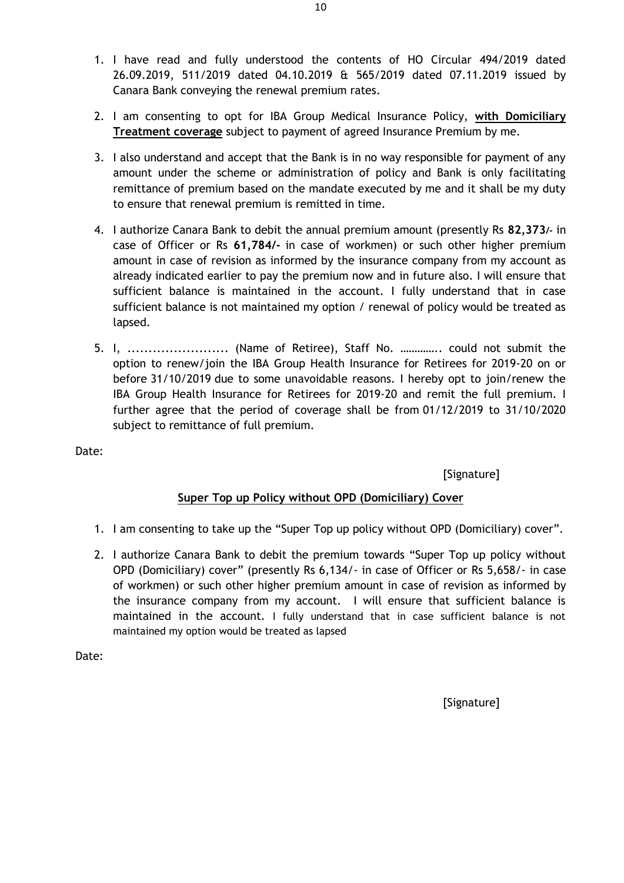- 1. I have read and fully understood the contents of HO Circular 494/2019 dated 26.09.2019, 511/2019 dated 04.10.2019 & 565/2019 dated 07.11.2019 issued by Canara Bank conveying the renewal premium rates.
- 2. I am consenting to opt for IBA Group Medical Insurance Policy, **with Domiciliary Treatment coverage** subject to payment of agreed Insurance Premium by me.
- 3. I also understand and accept that the Bank is in no way responsible for payment of any amount under the scheme or administration of policy and Bank is only facilitating remittance of premium based on the mandate executed by me and it shall be my duty to ensure that renewal premium is remitted in time.
- 4. I authorize Canara Bank to debit the annual premium amount (presently Rs **82,373/-** in case of Officer or Rs **61,784/-** in case of workmen) or such other higher premium amount in case of revision as informed by the insurance company from my account as already indicated earlier to pay the premium now and in future also. I will ensure that sufficient balance is maintained in the account. I fully understand that in case sufficient balance is not maintained my option / renewal of policy would be treated as lapsed.
- 5. I, .......................... (Name of Retiree), Staff No. ................ could not submit the option to renew/join the IBA Group Health Insurance for Retirees for 2019-20 on or before 31/10/2019 due to some unavoidable reasons. I hereby opt to join/renew the IBA Group Health Insurance for Retirees for 2019-20 and remit the full premium. I further agree that the period of coverage shall be from 01/12/2019 to 31/10/2020 subject to remittance of full premium.

[Signature]

## **Super Top up Policy without OPD (Domiciliary) Cover**

- 1. I am consenting to take up the "Super Top up policy without OPD (Domiciliary) cover".
- 2. I authorize Canara Bank to debit the premium towards "Super Top up policy without OPD (Domiciliary) cover" (presently Rs 6,134/- in case of Officer or Rs 5,658/- in case of workmen) or such other higher premium amount in case of revision as informed by the insurance company from my account. I will ensure that sufficient balance is maintained in the account. I fully understand that in case sufficient balance is not maintained my option would be treated as lapsed

Date:

[Signature]

10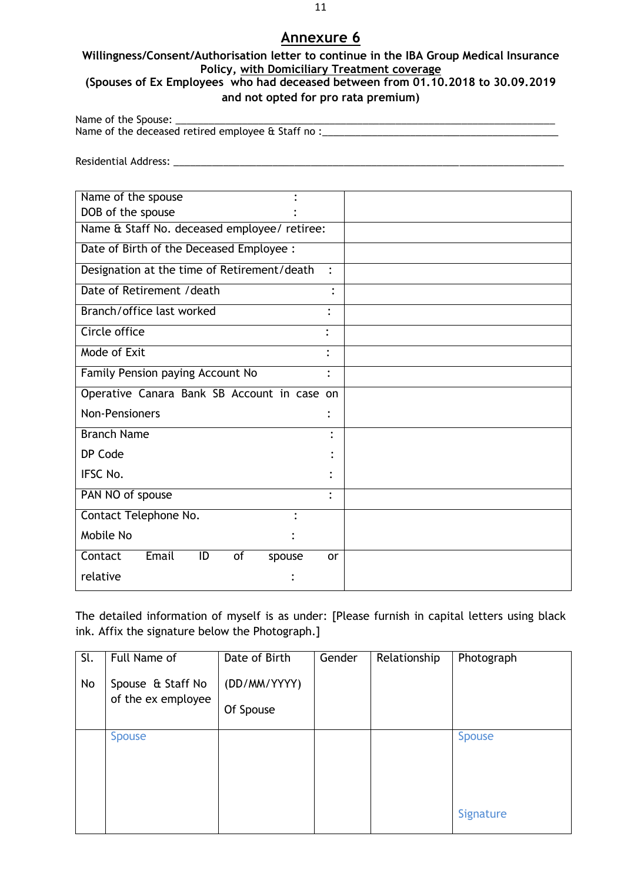## **Willingness/Consent/Authorisation letter to continue in the IBA Group Medical Insurance Policy, with Domiciliary Treatment coverage**

## **(Spouses of Ex Employees who had deceased between from 01.10.2018 to 30.09.2019 and not opted for pro rata premium)**

Name of the Spouse: \_ Name of the deceased retired employee & Staff no :\_\_\_\_\_\_\_\_\_\_\_\_\_\_\_\_\_\_\_\_\_\_\_\_\_\_\_\_\_\_

Residential Address: \_\_\_\_\_\_\_\_\_\_\_\_\_\_\_\_\_\_\_\_\_\_\_\_\_\_\_\_\_\_\_\_\_\_\_\_\_\_\_\_\_\_\_\_\_\_\_\_\_\_\_\_\_\_\_\_\_\_\_\_\_\_\_\_\_\_\_\_\_\_\_

| Name of the spouse                           |                |
|----------------------------------------------|----------------|
| DOB of the spouse                            |                |
| Name & Staff No. deceased employee/ retiree: |                |
| Date of Birth of the Deceased Employee :     |                |
| Designation at the time of Retirement/death  | $\mathbf{r}$   |
| Date of Retirement / death                   |                |
| Branch/office last worked                    |                |
| Circle office                                | ٠              |
| Mode of Exit                                 |                |
| Family Pension paying Account No             | $\ddot{\cdot}$ |
| Operative Canara Bank SB Account in case     | <b>on</b>      |
| <b>Non-Pensioners</b>                        |                |
| <b>Branch Name</b>                           |                |
| DP Code                                      |                |
| <b>IFSC No.</b>                              |                |
| PAN NO of spouse                             | $\bullet$      |
| Contact Telephone No.<br>$\bullet$           |                |
| Mobile No                                    |                |
| Email<br>Contact<br>ID<br>of<br>spouse       | <b>or</b>      |
| relative                                     |                |

The detailed information of myself is as under: [Please furnish in capital letters using black ink. Affix the signature below the Photograph.]

| Sl.<br>No | Full Name of<br>Spouse & Staff No<br>of the ex employee | Date of Birth<br>(DD/MM/YYYY)<br>Of Spouse | Gender | Relationship | Photograph                 |
|-----------|---------------------------------------------------------|--------------------------------------------|--------|--------------|----------------------------|
|           | <b>Spouse</b>                                           |                                            |        |              | <b>Spouse</b><br>Signature |